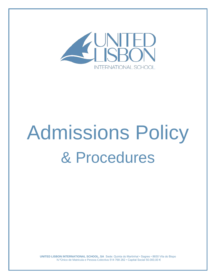

# Admissions Policy & Procedures

**UNITED LISBON INTERNATIONAL SCHOOL, SA** Sede: Quinta do Martinhal • Sagres • 8650 Vila do Bispo N.ºÚnico de Matricula e Pessoa Colectiva 514 768 282 • Capital Social 50.000,00 €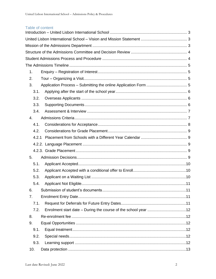# Table of content

| 1.             |  |  |
|----------------|--|--|
| 2.             |  |  |
| 3.             |  |  |
| 3.1.           |  |  |
| 3.2.           |  |  |
| 3.3.           |  |  |
| 3.4.           |  |  |
| 4.             |  |  |
| 4.1.           |  |  |
| 4.2.           |  |  |
| 4.2.1          |  |  |
|                |  |  |
|                |  |  |
| 5.             |  |  |
| 5.1.           |  |  |
| 5.2.           |  |  |
| 5.3.           |  |  |
| 5.4.           |  |  |
| 6.             |  |  |
| 7 <sub>1</sub> |  |  |
| 7.1.           |  |  |
| 7.2.           |  |  |
| 8.             |  |  |
| 9.             |  |  |
| 9.1.           |  |  |
| 9.2.           |  |  |
| 9.3.           |  |  |
| 10.            |  |  |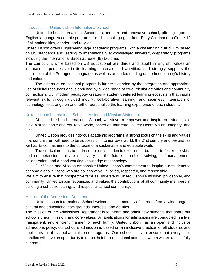# <span id="page-2-0"></span>Introduction – United Lisbon International School

United Lisbon International School is a modern and innovative school, offering rigorous English-language Academic programs for all schooling ages, from Early Childhood to Grade 12 of all nationalities, gender, and religion.

United Lisbon offers English-language academic programs, with a challenging curriculum based on US standards and leading to internationally acknowledged university-preparatory programs including the International Baccalaureate (IB) Diploma.

The curriculum, while based on US Educational Standards and taught in English, values an international perspective in its learning materials and activities, and strongly supports the acquisition of the Portuguese language as well as an understanding of the host country's history and culture.

The extensive educational program is further extended by the integration and appropriate use of digital resources and is enriched by a wide range of co-curricular activities and community connections. Our modern pedagogy creates a student-centered learning ecosystem that instills relevant skills through guided inquiry, collaborative learning, and seamless integration of technology, to strengthen and further personalize the learning experience of each student.

# <span id="page-2-1"></span>United Lisbon International School – Vision and Mission Statement

At United Lisbon International School, we strive to empower and inspire our students to build a sustainable and equitable world, based on four core values: Heart, Vision, Integrity, and Grit.

United Lisbon provides rigorous academic programs, a strong focus on the skills and values that our children will need to be successful in tomorrow's world, the 21st century and beyond, as well as its commitment to the purpose of a sustainable and equitable world.

The curriculum aims to address not only academic excellence, but also to foster the skills and competencies that are necessary for the future – problem-solving, self-management, collaboration, and a good working knowledge of technology.

Our Vision and Mission emphasize United Lisbon's commitment to inspire our students to become global citizens who are collaborative, involved, respectful, and responsible.

We aim to ensure that prospective families understand United Lisbon's mission, philosophy, and community. United Lisbon recognizes and values the contributions of all community members in building a cohesive, caring, and respectful school community.

## <span id="page-2-2"></span>Mission of the Admissions Department

United Lisbon International School welcomes a community of learners from a wide range of cultural and educational backgrounds, interests, and abilities.

The mission of the Admissions Department is to inform and admit new students that share our school's vision, mission, and core values. All applications for admissions are conducted in a fair, transparent, and efficient manner for each family. United Lisbon has an open and inclusive admissions policy, our school's admission is based on an inclusive practice for all students and applicants in all school-administered programs. Our school aims to ensure that every child enrolled will have an opportunity to reach their full educational potential, whom we are able to fully support.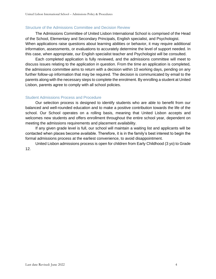# <span id="page-3-0"></span>Structure of the Admissions Committee and Decision Review

The Admissions Committee of United Lisbon International School is comprised of the Head of the School, Elementary and Secondary Principals, English specialist, and Psychologist. When applications raise questions about learning abilities or behavior, it may require additional information, assessments, or evaluations to accurately determine the level of support needed. In this case, when appropriate, our English specialist teacher and Psychologist will be consulted.

Each completed application is fully reviewed, and the admissions committee will meet to discuss issues relating to the application in question. From the time an application is completed, the admissions committee aims to return with a decision within 10 working days, pending on any further follow-up information that may be required. The decision is communicated by email to the parents along with the necessary steps to complete the enrolment. By enrolling a student at United Lisbon, parents agree to comply with all school policies.

# <span id="page-3-1"></span>Student Admissions Process and Procedure

Our selection process is designed to identify students who are able to benefit from our balanced and well-rounded education and to make a positive contribution towards the life of the school. Our School operates on a rolling basis, meaning that United Lisbon accepts and welcomes new students and offers enrollment throughout the entire school year, dependent on meeting the admissions requirements and placement availability.

If any given grade level is full, our school will maintain a waiting list and applicants will be contacted when places become available. Therefore, it is in the family's best interest to begin the formal admissions process at the earliest convenience, to avoid disappointment.

United Lisbon admissions process is open for children from Early Childhood (3 yo) to Grade 12.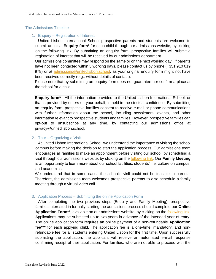# <span id="page-4-0"></span>The Admissions Timeline

## <span id="page-4-1"></span>1. Enquiry – Registration of Interest

United Lisbon International School prospective parents and students are welcome to submit an initial **Enquiry form\*** for each child through our admissions website, by clicking on the [following link.](https://unitedlisbon.openapply.com/roi) By submitting an enquiry form, prospective families will submit a registration of interest that will be received by our admissions department.

Our admissions committee may respond on the same or on the next working day. If parents have not been contacted within 3 working days, please contact us by phone (+351 910 019 978) or at [admissions@unitedlisbon.school,](mailto:admissions@unitedlisbon.school) as your original enquiry form might not have been received correctly (e.g.: without details of contact).

Please note that by submitting an enquiry form does not guarantee nor confirm a place at the school for a child.

**Enquiry form\* -** All the information provided to the United Lisbon International School, or that is provided by others on your behalf, is held in the strictest confidence. By submitting an enquiry form, prospective families consent to receive e-mail or phone communications with further information about the school, including newsletters, events, and other information relevant to prospective students and families. However, prospective families can opt-out to unsubscribe at any time, by contacting our admissions office at privacy@unitedlisbon.school.

## <span id="page-4-2"></span>2. Tour – Organizing a Visit

At United Lisbon International School, we understand the importance of visiting the school campus before making the decision to start the application process. Our admissions team encourages all families to make an appointment before visiting our school, by scheduling a visit through our admissions website, by clicking on the [following link.](https://unitedlisbon.openapply.com/tours/new) Our **Family Meeting** is an opportunity to learn more about our school facilities, students' life, culture on campus, and academics.

We understand that in some cases the school's visit could not be feasible to parents. Therefore, the admissions team welcomes prospective parents to also schedule a family meeting through a virtual video call.

## <span id="page-4-3"></span>3. Application Process – Submitting the online Application Form

After completing the two previous steps (Enquiry and Family Meeting), prospective families interested in formally starting the admissions process should complete our **Online Application Form\*\***, available on our admissions website, by clicking on the [following link.](https://unitedlisbon.openapply.com/apply) Applications may be submitted up to two years in advance of the intended year of entry. The online application form requires an online payment of a non-refundable **Application fee\*\*\*** for each applying child. The application fee is a one-time, mandatory, and nonrefundable fee for all students entering United Lisbon for the first time. Upon successfully submitting the application, the applicant will receive an automated e-mail response confirming receipt of their application. For families, who are not able to proceed with the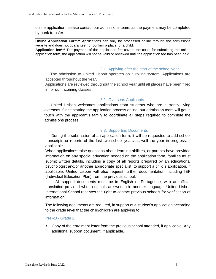online application, please contact our admissions team, as the payment may be completed by bank transfer.

**Online Application Form\*\*** Applications can only be processed online through the admissions website and does not guarantee nor confirm a place for a child.

**Application fee\*\*\*** The payment of the application fee covers the costs for submitting the online application form, the application will not be valid or reviewed until the application fee has been paid.

#### <span id="page-5-0"></span>3.1. Applying after the start of the school year

The admission to United Lisbon operates on a rolling system. Applications are accepted throughout the year.

Applications are reviewed throughout the school year until all places have been filled in for our incoming classes.

## <span id="page-5-1"></span>3.2. Overseas Applicants

United Lisbon welcomes applications from students who are currently living overseas. Once starting the application process online, our admission team will get in touch with the applicant's family to coordinate all steps required to complete the admissions process.

# <span id="page-5-2"></span>3.3. Supporting Documents

During the submission of an application form, it will be requested to add school transcripts or reports of the last two school years as well the year in progress, if applicable.

When applications raise questions about learning abilities, or parents have provided information on any special education needed on the application form, families must submit written details, including a copy of all reports prepared by an educational psychologist and/or another appropriate specialist, to support a child's application. If applicable, United Lisbon will also request further documentation including IEP (Individual Education Plan) from the previous school.

All support documents must be in English or Portuguese, with an official translation provided when originals are written in another language. United Lisbon International School reserves the right to contact previous schools for verification of information.

The following documents are required, in support of a student's application according to the grade level that the child/children are applying to:

## Pre-k3 - Grade 2:

Copy of the enrolment letter from the previous school attended, if applicable. Any additional support document, if applicable.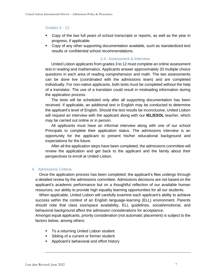# Grades 3 - 12:

- Copy of the two full years of school transcripts or reports, as well as the year in progress, if applicable.
- Copy of any other supporting documentation available, such as standardized test results or confidential school recommendations.

## <span id="page-6-0"></span>3.4. Assessment & Interview

United Lisbon applicants from grades 3 to 12 must complete an online assessment test in reading and mathematics. Applicants answer approximately 20 multiple choice questions in each area of reading comprehension and math. The two assessments can be done live (coordinated with the admissions team) and are completed individually. For non-native applicants, both tests must be completed without the help of a translator. The use of a translator could result in misleading information during the application process.

The tests will be scheduled only after all supporting documentation has been received. If applicable, an additional test in English may be conducted to determine the applicant's level of English. Should the test results be inconclusive, United Lisbon will request an interview with the applicant along with our **IEL/ESOL** teacher, which may be carried out online or in person.

All applicants must have an informal interview along with one of our school Principals to complete their application status. The admissions interview is an opportunity for the applicant to present his/her educational background and expectations for the future.

After all the application steps have been completed, the admissions committee will review the application and get back to the applicant and the family about their perspectives to enroll at United Lisbon.

# <span id="page-6-1"></span>4. Admissions Criteria

Once the application process has been completed, the applicant's files undergo through a detailed review by the admissions committee. Admissions decisions are not based on the applicant's academic performance but on a thoughtful reflection of our available human resources, our ability to provide high equality learning opportunities for all our students.

When applicable, United Lisbon will carefully examine each applicant's ability to achieve success within the context of an English language-learning (ELL) environment. Parents should note that class size/space availability, ELL guidelines, social/emotional, and behavioral background affect the admission considerations for acceptance.

Amongst equal applicants, priority consideration (not automatic placement) is subject to the factors below, among others:

- To a returning United Lisbon student
- Sibling of a current or former student
- Applicant's behavioral and effort history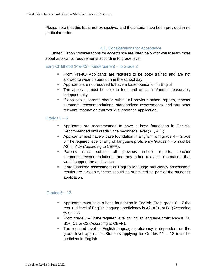Please note that this list is not exhaustive, and the criteria have been provided in no particular order.

# <span id="page-7-0"></span>4.1. Considerations for Acceptance

United Lisbon considerations for acceptance are listed below for you to learn more about applicants' requirements according to grade level.

Early Childhood (Pre-K3 – Kindergarten) – to Grade 2

- From Pre-K3 Applicants are required to be potty trained and are not allowed to wear diapers during the school day.
- Applicants are not required to have a base foundation in English.
- The applicant must be able to feed and dress him/herself reasonably independently.
- **EXECT** If applicable, parents should submit all previous school reports, teacher comments/recommendations, standardized assessments, and any other relevant information that would support the application.

# Grades  $3 - 5$

- **EXE** Applicants are recommended to have a base foundation in English; Recommended until grade 3 the beginner's level (A1, A1+).
- **•** Applicants must have a base foundation in English from grade  $4 -$  Grade 5. The required level of English language proficiency Grades 4 – 5 must be A2, or A2+ (According to CEFR).
- Parents must submit all previous school reports, teacher comments/recommendations, and any other relevant information that would support the application.
- **EXED If standardized assessment or English language proficiency assessment** results are available, these should be submitted as part of the student's application.

# Grades  $6 - 12$

- **•** Applicants must have a base foundation in English; From grade  $6 7$  the required level of English language proficiency is A2, A2+, or B1 (According to CEFR).
- From grade 8 12 the required level of English language proficiency is B1, B1+, C1 or C2 (According to CEFR).
- **•** The required level of English language proficiency is dependent on the grade level applied to. Students applying for Grades 11 – 12 must be proficient in English.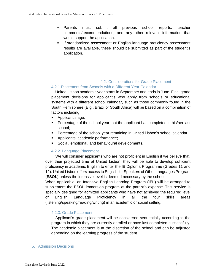- Parents must submit all previous school reports, teacher comments/recommendations, and any other relevant information that would support the application.
- **EXED If standardized assessment or English language proficiency assessment** results are available, these should be submitted as part of the student's application.

# <span id="page-8-0"></span>4.2. Considerations for Grade Placement

# <span id="page-8-1"></span>4.2.1 Placement from Schools with a Different Year Calendar

United Lisbon academic year starts in September and ends in June. Final grade placement decisions for applicant's who apply from schools or educational systems with a different school calendar, such as those commonly found in the South Hemisphere (E.g., Brazil or South Africa) will be based on a combination of factors including:

- Applicant's age;
- Percentage of the school year that the applicant has completed in his/her last school;
- **Percentage of the school year remaining in United Lisbon's school calendar**
- Applicants' academic performance;
- **•** Social, emotional, and behavioural developments.

# 4.2.2. Language Placement

<span id="page-8-2"></span>We will consider applicants who are not proficient in English if we believe that, over their projected time at United Lisbon, they will be able to develop sufficient proficiency in academic English to enter the IB Diploma Programme (Grades 11 and 12). United Lisbon offers access to English for Speakers of Other Languages Program (**ESOL**) unless the intensive level is deemed necessary by the school.

When applicable, an Intensive English Learning Program **(IEL)** will be arranged to supplement the ESOL immersion program at the parent's expense. This service is specially designed for admitted applicants who have not achieved the required level of English Language Proficiency in all the four skills areas (listening/speaking/reading/writing) in an academic or social setting.

# <span id="page-8-3"></span>4.2.3. Grade Placement

Applicant's grade placement will be considered sequentially according to the program in which they are currently enrolled or have last completed successfully. The academic placement is at the discretion of the school and can be adjusted depending on the learning progress of the student.

# <span id="page-8-4"></span>5. Admission Decisions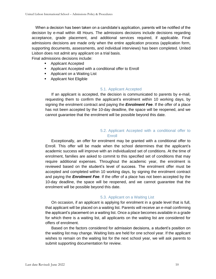When a decision has been taken on a candidate's application, parents will be notified of the decision by e-mail within 48 Hours. The admissions decisions include decisions regarding acceptance, grade placement, and additional services required, if applicable. Final admissions decisions are made only when the entire application process (application form, supporting documents, assessments, and individual interviews) has been completed. United Lisbon does not admit any applicant on a trial basis.

Final admissions decisions include:

- Applicant Accepted
- Applicant Accepted with a conditional offer to Enroll
- Applicant on a Waiting List
- Applicant Not Eligible

## <span id="page-9-0"></span>5.1. Applicant Accepted

If an applicant is accepted, the decision is communicated to parents by e-mail, requesting them to confirm the applicant's enrolment within 10 working days, by signing the enrolment contract and paying the *Enrolment Fee*. If the offer of a place has not been accepted by the 10-day deadline, the space will be reopened, and we cannot guarantee that the enrolment will be possible beyond this date.

# <span id="page-9-1"></span>5.2. Applicant Accepted with a conditional offer to **Enroll**

Exceptionally, an offer for enrolment may be granted with a conditional offer to Enroll. This offer will be made when the school determines that the applicant's academic success will improve with an individualized set of conditions. At the time of enrolment, families are asked to commit to this specified set of conditions that may require additional expenses. Throughout the academic year, the enrolment is reviewed based on the student's level of success. The enrolment offer must be accepted and completed within 10 working days, by signing the enrolment contract and paying the *Enrolment Fee*. If the offer of a place has not been accepted by the 10-day deadline, the space will be reopened, and we cannot guarantee that the enrolment will be possible beyond this date.

## <span id="page-9-2"></span>5.3. Applicant on a Waiting List

On occasion, if an applicant is applying for enrolment in a grade level that is full, that applicant will be placed on a waiting list. Parents will receive an e-mail confirming the applicant's placement on a waiting list. Once a place becomes available in a grade for which there is a waiting list, all applicants on the waiting list are considered for offers of enrolment.

Based on the factors considered for admission decisions, a student's position on the waiting list may change. Waiting lists are held for one school year. If the applicant wishes to remain on the waiting list for the next school year, we will ask parents to submit supporting documentation for review.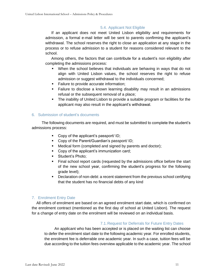# <span id="page-10-0"></span>5.4. Applicant Not Eligible

If an applicant does not meet United Lisbon eligibility and requirements for admission, a formal e-mail letter will be sent to parents confirming the applicant's withdrawal. The school reserves the right to close an application at any stage in the process or to refuse admission to a student for reasons considered relevant to the school.

Among others, the factors that can contribute for a student's non eligibility after completing the admissions process:

- When the school believes that individuals are behaving in ways that do not align with United Lisbon values, the school reserves the right to refuse admission or suggest withdrawal to the individuals concerned;
- Failure to provide accurate information;
- **Eailure to disclose a known learning disability may result in an admissions** refusal or the subsequent removal of a place;
- The inability of United Lisbon to provide a suitable program or facilities for the applicant may also result in the applicant's withdrawal.

# <span id="page-10-1"></span>6. Submission of student's documents

The following documents are required, and must be submitted to complete the student's admissions process:

- Copy of the applicant's passport/ ID;
- Copy of the Parent/Guardian's passport/ ID;
- Medical form (completed and signed by parents and doctor);
- Copy of the applicant's immunization card;
- Student's Photo;
- Final school report cards (requested by the admissions office before the start of the new school year, confirming the student's progress for the following grade level);
- Declaration of non-debt: a recent statement from the previous school certifying that the student has no financial debts of any kind

# <span id="page-10-2"></span>7. Enrolment Entry Date

All offers of enrolment are based on an agreed enrolment start date, which is confirmed on the enrolment contract (mentioned as the first day of school at United Lisbon). The request for a change of entry date on the enrolment will be reviewed on an individual basis.

# 7.1.Request for Deferrals for Future Entry Dates

<span id="page-10-3"></span>An applicant who has been accepted or is placed on the waiting list can choose to defer the enrolment start date to the following academic year. For enrolled students, the enrolment fee is deferrable one academic year. In such a case, tuition fees will be due according to the tuition fees overview applicable to the academic year. The school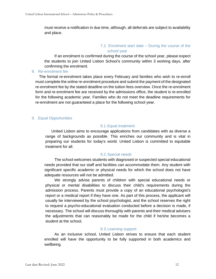must receive a notification in due time, although, all deferrals are subject to availability and place.

## <span id="page-11-0"></span>7.2. Enrolment start date – During the course of the school year

If an enrolment is confirmed during the course of the school year, please expect the students to join United Lisbon School's community within 3 working days, after confirming the enrolment.

#### <span id="page-11-1"></span>8. Re-enrolment fee

The formal re-enrolment takes place every February and families who wish to re-enroll must complete the online re-enrolment procedure and submit the payment of the designated re-enrolment fee by the stated deadline on the tuition fees overview. Once the re-enrolment form and re-enrolment fee are received by the admissions office, the student is re-enrolled for the following academic year. Families who do not meet the deadline requirements for re-enrolment are not guaranteed a place for the following school year.

## <span id="page-11-3"></span><span id="page-11-2"></span>9. Equal Opportunities

## 9.1.Equal treatment

United Lisbon aims to encourage applications from candidates with as diverse a range of backgrounds as possible. This enriches our community and is vital in preparing our students for today's world. United Lisbon is committed to equitable treatment for all.

## 9.2.Special needs

<span id="page-11-4"></span>The school welcomes students with diagnosed or suspected special educational needs provided that our staff and facilities can accommodate them. Any student with significant specific academic or physical needs for which the school does not have adequate resources will not be admitted.

We strongly advise parents of children with special educational needs or physical or mental disabilities to discuss their child's requirements during the admission process. Parents must provide a copy of an educational psychologist's report or a medical report if they have one. As part of this process, the applicant will usually be interviewed by the school psychologist, and the school reserves the right to request a psycho-educational evaluation conducted before a decision is made, if necessary. The school will discuss thoroughly with parents and their medical advisers the adjustments that can reasonably be made for the child if he/she becomes a student at the school.

## 9.3.Learning support

<span id="page-11-5"></span>As an inclusive school, United Lisbon strives to ensure that each student enrolled will have the opportunity to be fully supported in both academics and wellbeing.